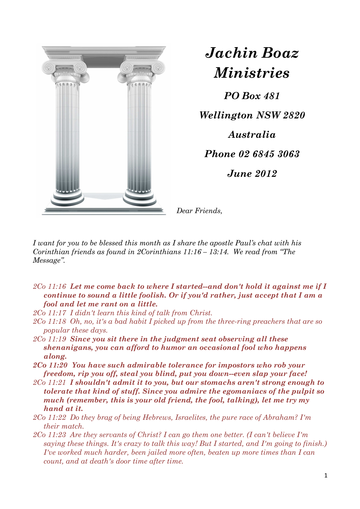

*Jachin Boaz Ministries*

*PO Box 481 Wellington NSW 2820 Australia Phone 02 6845 3063 June 2012* 

*Dear Friends,* 

*I want for you to be blessed this month as I share the apostle Paul's chat with his Corinthian friends as found in 2Corinthians 11:16 – 13:14. We read from "The Message".* 

- *2Co 11:16 Let me come back to where I started--and don't hold it against me if I continue to sound a little foolish. Or if you'd rather, just accept that I am a fool and let me rant on a little.*
- *2Co 11:17 I didn't learn this kind of talk from Christ.*
- *2Co 11:18 Oh, no, it's a bad habit I picked up from the three-ring preachers that are so popular these days.*
- *2Co 11:19 Since you sit there in the judgment seat observing all these shenanigans, you can afford to humor an occasional fool who happens along.*
- *2Co 11:20 You have such admirable tolerance for impostors who rob your freedom, rip you off, steal you blind, put you down--even slap your face!*
- *2Co 11:21 I shouldn't admit it to you, but our stomachs aren't strong enough to tolerate that kind of stuff. Since you admire the egomaniacs of the pulpit so much (remember, this is your old friend, the fool, talking), let me try my hand at it.*
- *2Co 11:22 Do they brag of being Hebrews, Israelites, the pure race of Abraham? I'm their match.*
- *2Co 11:23 Are they servants of Christ? I can go them one better. (I can't believe I'm saying these things. It's crazy to talk this way! But I started, and I'm going to finish.) I've worked much harder, been jailed more often, beaten up more times than I can count, and at death's door time after time.*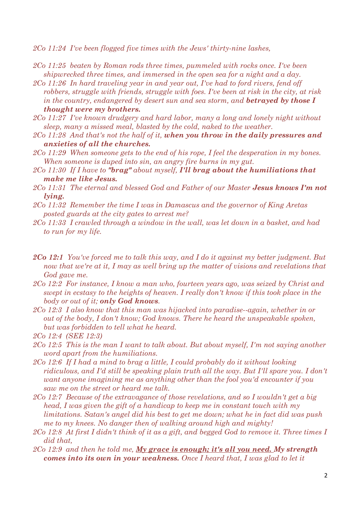*2Co 11:24 I've been flogged five times with the Jews' thirty-nine lashes,* 

- *2Co 11:25 beaten by Roman rods three times, pummeled with rocks once. I've been shipwrecked three times, and immersed in the open sea for a night and a day.*
- *2Co 11:26 In hard traveling year in and year out, I've had to ford rivers, fend off robbers, struggle with friends, struggle with foes. I've been at risk in the city, at risk in the country, endangered by desert sun and sea storm, and betrayed by those I thought were my brothers.*
- *2Co 11:27 I've known drudgery and hard labor, many a long and lonely night without sleep, many a missed meal, blasted by the cold, naked to the weather.*
- *2Co 11:28 And that's not the half of it, when you throw in the daily pressures and anxieties of all the churches.*
- *2Co 11:29 When someone gets to the end of his rope, I feel the desperation in my bones. When someone is duped into sin, an angry fire burns in my gut.*
- *2Co 11:30 If I have to "brag" about myself, I'll brag about the humiliations that make me like Jesus.*
- *2Co 11:31 The eternal and blessed God and Father of our Master Jesus knows I'm not lying.*
- *2Co 11:32 Remember the time I was in Damascus and the governor of King Aretas posted guards at the city gates to arrest me?*
- *2Co 11:33 I crawled through a window in the wall, was let down in a basket, and had to run for my life.*
- *2Co 12:1 You've forced me to talk this way, and I do it against my better judgment. But now that we're at it, I may as well bring up the matter of visions and revelations that God gave me.*
- *2Co 12:2 For instance, I know a man who, fourteen years ago, was seized by Christ and swept in ecstasy to the heights of heaven. I really don't know if this took place in the body or out of it; only God knows.*
- *2Co 12:3 I also know that this man was hijacked into paradise--again, whether in or out of the body, I don't know; God knows. There he heard the unspeakable spoken, but was forbidden to tell what he heard.*
- *2Co 12:4 (SEE 12:3)*
- *2Co 12:5 This is the man I want to talk about. But about myself, I'm not saying another word apart from the humiliations.*
- *2Co 12:6 If I had a mind to brag a little, I could probably do it without looking ridiculous, and I'd still be speaking plain truth all the way. But I'll spare you. I don't want anyone imagining me as anything other than the fool you'd encounter if you saw me on the street or heard me talk.*
- *2Co 12:7 Because of the extravagance of those revelations, and so I wouldn't get a big head, I was given the gift of a handicap to keep me in constant touch with my limitations. Satan's angel did his best to get me down; what he in fact did was push me to my knees. No danger then of walking around high and mighty!*
- *2Co 12:8 At first I didn't think of it as a gift, and begged God to remove it. Three times I did that,*
- *2Co 12:9 and then he told me, My grace is enough; it's all you need. My strength comes into its own in your weakness. Once I heard that, I was glad to let it*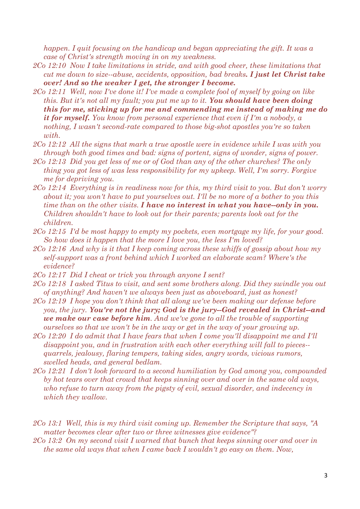*happen. I quit focusing on the handicap and began appreciating the gift. It was a case of Christ's strength moving in on my weakness.* 

- *2Co 12:10 Now I take limitations in stride, and with good cheer, these limitations that cut me down to size--abuse, accidents, opposition, bad breaks. I just let Christ take over! And so the weaker I get, the stronger I become.*
- *2Co 12:11 Well, now I've done it! I've made a complete fool of myself by going on like this. But it's not all my fault; you put me up to it. You should have been doing this for me, sticking up for me and commending me instead of making me do it for myself. You know from personal experience that even if I'm a nobody, a nothing, I wasn't second-rate compared to those big-shot apostles you're so taken with.*
- *2Co 12:12 All the signs that mark a true apostle were in evidence while I was with you through both good times and bad: signs of portent, signs of wonder, signs of power.*
- *2Co 12:13 Did you get less of me or of God than any of the other churches? The only thing you got less of was less responsibility for my upkeep. Well, I'm sorry. Forgive me for depriving you.*
- *2Co 12:14 Everything is in readiness now for this, my third visit to you. But don't worry about it; you won't have to put yourselves out. I'll be no more of a bother to you this time than on the other visits. I have no interest in what you have--only in you. Children shouldn't have to look out for their parents; parents look out for the children.*
- *2Co 12:15 I'd be most happy to empty my pockets, even mortgage my life, for your good. So how does it happen that the more I love you, the less I'm loved?*
- *2Co 12:16 And why is it that I keep coming across these whiffs of gossip about how my self-support was a front behind which I worked an elaborate scam? Where's the evidence?*
- *2Co 12:17 Did I cheat or trick you through anyone I sent?*
- *2Co 12:18 I asked Titus to visit, and sent some brothers along. Did they swindle you out of anything? And haven't we always been just as aboveboard, just as honest?*
- *2Co 12:19 I hope you don't think that all along we've been making our defense before you, the jury. You're not the jury; God is the jury--God revealed in Christ--and we make our case before him. And we've gone to all the trouble of supporting ourselves so that we won't be in the way or get in the way of your growing up.*
- *2Co 12:20 I do admit that I have fears that when I come you'll disappoint me and I'll disappoint you, and in frustration with each other everything will fall to pieces- quarrels, jealousy, flaring tempers, taking sides, angry words, vicious rumors, swelled heads, and general bedlam.*
- *2Co 12:21 I don't look forward to a second humiliation by God among you, compounded by hot tears over that crowd that keeps sinning over and over in the same old ways, who refuse to turn away from the pigsty of evil, sexual disorder, and indecency in which they wallow.*

*2Co 13:1 Well, this is my third visit coming up. Remember the Scripture that says, "A matter becomes clear after two or three witnesses give evidence"?* 

*2Co 13:2 On my second visit I warned that bunch that keeps sinning over and over in the same old ways that when I came back I wouldn't go easy on them. Now,*